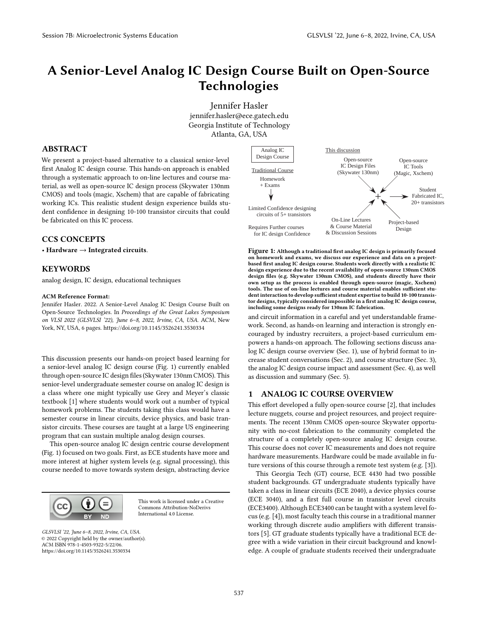# **A Senior-Level Analog IC Design Course Built on Open-Source Technologies**

Jennifer Hasler jennifer.hasler@ece.gatech.edu Georgia Institute of Technology Atlanta, GA, USA

## **ABSTRACT**

We present a project-based alternative to a classical senior-level first Analog IC design course. This hands-on approach is enabled through a systematic approach to on-line lectures and course material, as well as open-source IC design process (Skywater 130nm CMOS) and tools (magic, Xschem) that are capable of fabricating working ICs. This realistic student design experience builds student confidence in designing 10-100 transistor circuits that could be fabricated on this IC process.

## **CCS CONCEPTS**

• **Hardware** → **Integrated circuits**.

## **KEYWORDS**

analog design, IC design, educational techniques

#### **ACM Reference Format:**

Jennifer Hasler. 2022. A Senior-Level Analog IC Design Course Built on Open-Source Technologies. In *Proceedings of the Great Lakes Symposium on VLSI 2022 (GLSVLSI '22), June 6–8, 2022, Irvine, CA, USA.* ACM, New York, NY, USA, 6 pages. https://doi.org/10.1145/3526241.3530334

This discussion presents our hands-on project based learning for a senior-level analog IC design course (Fig. 1) currently enabled through open-source IC design files (Skywater 130nm CMOS). This senior-level undergraduate semester course on analog IC design is a class where one might typically use Grey and Meyer's classic textbook [1] where students would work out a number of typical homework problems. The students taking this class would have a semester course in linear circuits, device physics, and basic transistor circuits. These courses are taught at a large US engineering program that can sustain multiple analog design courses.

This open-source analog IC design centric course development (Fig. 1) focused on two goals. First, as ECE students have more and more interest at higher system levels (e.g. signal processing), this course needed to move towards system design, abstracting device



This work is licensed under a Creative Commons Attribution-NoDerivs International 4.0 License.

*GLSVLSI '22, June 6–8, 2022, Irvine, CA, USA.* © 2022 Copyright held by the owner/author(s). ACM ISBN 978-1-4503-9322-5/22/06. https://doi.org/10.1145/3526241.3530334



**Figure 1: Although a traditional first analog IC design is primarily focused on homework and exams, we discuss our experience and data on a projectbased first analog IC design course. Students work directly with a realistic IC design experience due to the recent availability of open-source 130nm CMOS design files (e.g. Skywater 130nm CMOS), and students directly have their own setup as the process is enabled through open-source (magic, Xschem) tools. The use of on-line lectures and course material enables sufficient student interaction to develop sufficient student expertise to build 10-100 transistor designs, typically considered impossible in a first analog IC design course, including some designs ready for 130nm IC fabrication.**

and circuit information in a careful and yet understandable framework. Second, as hands-on learning and interaction is strongly encouraged by industry recruiters, a project-based curriculum empowers a hands-on approach. The following sections discuss analog IC design course overview (Sec. 1), use of hybrid format to increase student conversations (Sec. 2), and course structure (Sec. 3), the analog IC design course impact and assessment (Sec. 4), as well as discussion and summary (Sec. 5).

## **1 ANALOG IC COURSE OVERVIEW**

This effort developed a fully open-source course [2], that includes lecture nuggets, course and project resources, and project requirements. The recent 130nm CMOS open-source Skywater opportunity with no-cost fabrication to the community completed the structure of a completely open-source analog IC design course. This course does not cover IC measurements and does not require hardware measurements. Hardware could be made available in future versions of this course through a remote test system (e.g. [3]).

This Georgia Tech (GT) course, ECE 4430 had two possible student backgrounds. GT undergraduate students typically have taken a class in linear circuits (ECE 2040), a device physics course (ECE 3040), and a first full course in transistor level circuits (ECE3400). Although ECE3400 can be taught with a system level focus (e.g. [4]), most faculty teach this course in a traditional manner working through discrete audio amplifiers with different transistors [5]. GT graduate students typically have a traditional ECE degree with a wide variation in their circuit background and knowledge. A couple of graduate students received their undergraduate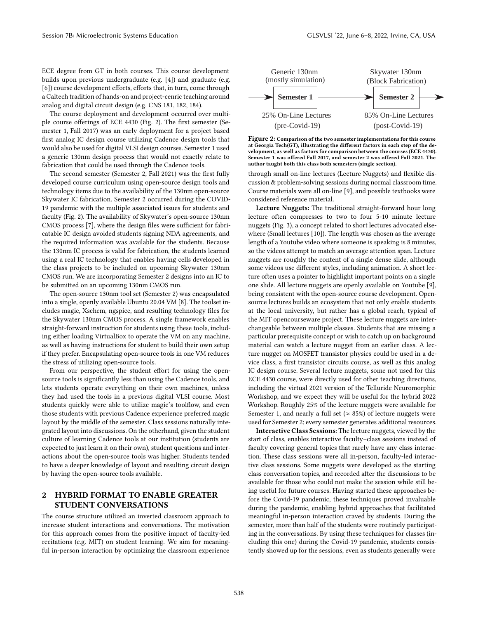ECE degree from GT in both courses. This course development builds upon previous undergraduate (e.g. [4]) and graduate (e.g. [6]) course development efforts, efforts that, in turn, come through a Caltech tradition of hands-on and project-cenric teaching around analog and digital circuit design (e.g. CNS 181, 182, 184).

The course deployment and development occurred over multiple course offerings of ECE 4430 (Fig. 2). The first semester (Semester 1, Fall 2017) was an early deployment for a project based first analog IC design course utilizing Cadence design tools that would also be used for digital VLSI design courses. Semester 1 used a generic 130nm design process that would not exactly relate to fabrication that could be used through the Cadence tools.

The second semester (Semester 2, Fall 2021) was the first fully developed course curriculum using open-source design tools and technology items due to the availability of the 130nm open-source Skywater IC fabrication. Semester 2 occurred during the COVID-19 pandemic with the multiple associated issues for students and faculty (Fig. 2). The availability of Skywater's open-source 130nm CMOS process [7], where the design files were sufficient for fabricatable IC design avoided students signing NDA agreements, and the required information was available for the students. Because the 130nm IC process is valid for fabrication, the students learned using a real IC technology that enables having cells developed in the class projects to be included on upcoming Skywater 130nm CMOS run. We are incorporating Semester 2 designs into an IC to be submitted on an upcoming 130nm CMOS run.

The open-source 130nm tool set (Semester 2) was encapsulated into a single, openly available Ubuntu 20.04 VM [8]. The toolset includes magic, Xschem, ngspice, and resulting technology files for the Skywater 130nm CMOS process. A single framework enables straight-forward instruction for students using these tools, including either loading VirtualBox to operate the VM on any machine, as well as having instructions for student to build their own setup if they prefer. Encapsulating open-source tools in one VM reduces the stress of utilizing open-source tools.

From our perspective, the student effort for using the opensource tools is significantly less than using the Cadence tools, and lets students operate everything on their own machines, unless they had used the tools in a previous digital VLSI course. Most students quickly were able to utilize magic's toolflow, and even those students with previous Cadence experience preferred magic layout by the middle of the semester. Class sessions naturally integrated layout into discussions. On the otherhand, given the student culture of learning Cadence tools at our institution (students are expected to just learn it on their own), student questions and interactions about the open-source tools was higher. Students tended to have a deeper knowledge of layout and resulting circuit design by having the open-source tools available.

## **2 HYBRID FORMAT TO ENABLE GREATER STUDENT CONVERSATIONS**

The course structure utilized an inverted classroom approach to increase student interactions and conversations. The motivation for this approach comes from the positive impact of faculty-led recitations (e.g. MIT) on student learning. We aim for meaningful in-person interaction by optimizing the classroom experience



**Figure 2: Comparison of the two semester implementations for this course at Georgia Tech(GT), illustrating the different factors in each step of the development, as well as factors for comparison between the courses (ECE 4430). Semester 1 was offered Fall 2017, and semester 2 was offered Fall 2021. The author taught both this class both semesters (single section).**

through small on-line lectures (Lecture Nuggets) and flexible discussion & problem-solving sessions during normal classroom time. Course materials were all on-line [9], and possible textbooks were considered reference material.

**Lecture Nuggets:** The traditional straight-forward hour long lecture often compresses to two to four 5-10 minute lecture nuggets (Fig. 3), a concept related to short lectures advocated elsewhere (Small lectures [10]). The length was chosen as the average length of a Youtube video where someone is speaking is 8 minutes, so the videos attempt to match an average attention span. Lecture nuggets are roughly the content of a single dense slide, although some videos use different styles, including animation. A short lecture often uses a pointer to highlight important points on a single one slide. All lecture nuggets are openly available on Youtube [9], being consistent with the open-source course development. Opensource lectures builds an ecosystem that not only enable students at the local university, but rather has a global reach, typical of the MIT opencourseware project. These lecture nuggets are interchangeable between multiple classes. Students that are missing a particular prerequisite concept or wish to catch up on background material can watch a lecture nugget from an earlier class. A lecture nugget on MOSFET transistor physics could be used in a device class, a first transistor circuits course, as well as this analog IC design course. Several lecture nuggets, some not used for this ECE 4430 course, were directly used for other teaching directions, including the virtual 2021 version of the Telluride Neuromorphic Workshop, and we expect they will be useful for the hybrid 2022 Workshop. Roughly 25% of the lecture nuggets were available for Semester 1, and nearly a full set ( $\approx 85\%$ ) of lecture nuggets were used for Semester 2; every semester generates additional resources.

**Interactive Class Sessions**: The lecture nuggets, viewed by the start of class, enables interactive faculty–class sessions instead of faculty covering general topics that rarely have any class interaction. These class sessions were all in-person, faculty-led interactive class sessions. Some nuggets were developed as the starting class conversation topics, and recorded after the discussions to be available for those who could not make the session while still being useful for future courses. Having started these approaches before the Covid-19 pandemic, these techniques proved invaluable during the pandemic, enabling hybrid approaches that facilitated meaningful in-person interaction craved by students. During the semester, more than half of the students were routinely participating in the conversations. By using these techniques for classes (including this one) during the Covid-19 pandemic, students consistently showed up for the sessions, even as students generally were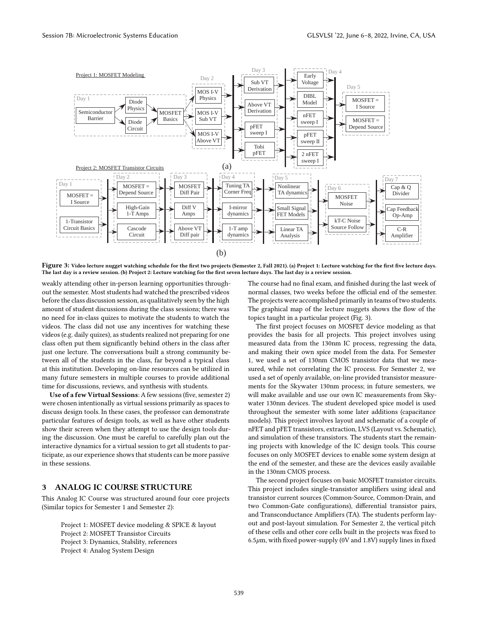

**Figure 3: Video lecture nugget watching schedule for the first two projects (Semester 2, Fall 2021). (a) Project 1: Lecture watching for the first five lecture days. The last day is a review session. (b) Project 2: Lecture watching for the first seven lecture days. The last day is a review session.**

weakly attending other in-person learning opportunities throughout the semester. Most students had watched the prescribed videos before the class discussion session, as qualitatively seen by the high amount of student discussions during the class sessions; there was no need for in-class quizes to motivate the students to watch the videos. The class did not use any incentives for watching these videos (e.g. daily quizes), as students realized not preparing for one class often put them significantly behind others in the class after just one lecture. The conversations built a strong community between all of the students in the class, far beyond a typical class at this institution. Developing on-line resources can be utilized in many future semesters in multiple courses to provide additional time for discussions, reviews, and synthesis with students.

**Use of a few Virtual Sessions**: A few sessions (five, semester 2) were chosen intentionally as virtual sessions primarily as spaces to discuss design tools. In these cases, the professor can demonstrate particular features of design tools, as well as have other students show their screen when they attempt to use the design tools during the discussion. One must be careful to carefully plan out the interactive dynamics for a virtual session to get all students to participate, as our experience shows that students can be more passive in these sessions.

## **3 ANALOG IC COURSE STRUCTURE**

This Analog IC Course was structured around four core projects (Similar topics for Semester 1 and Semester 2):

Project 1: MOSFET device modeling & SPICE & layout Project 2: MOSFET Transistor Circuits Project 3: Dynamics, Stability, references Project 4: Analog System Design

The course had no final exam, and finished during the last week of normal classes, two weeks before the official end of the semester. The projects were accomplished primarily in teams of two students. The graphical map of the lecture nuggets shows the flow of the topics taught in a particular project (Fig. 3).

The first project focuses on MOSFET device modeling as that provides the basis for all projects. This project involves using measured data from the 130nm IC process, regressing the data, and making their own spice model from the data. For Semester 1, we used a set of 130nm CMOS transistor data that we measured, while not correlating the IC process. For Semester 2, we used a set of openly available, on-line provided transistor measurements for the Skywater 130nm process; in future semesters, we will make available and use our own IC measurements from Skywater 130nm devices. The student developed spice model is used throughout the semester with some later additions (capacitance models). This project involves layout and schematic of a couple of nFET and pFET transistors, extraction, LVS (Layout vs. Schematic), and simulation of these transistors. The students start the remaining projects with knowledge of the IC design tools. This course focuses on only MOSFET devices to enable some system design at the end of the semester, and these are the devices easily available in the 130nm CMOS process.

The second project focuses on basic MOSFET transistor circuits. This project includes single-transistor amplifiers using ideal and transistor current sources (Common-Source, Common-Drain, and two Common-Gate configurations), differential transistor pairs, and Transconductance Amplifiers (TA). The students perform layout and post-layout simulation. For Semester 2, the vertical pitch of these cells and other core cells built in the projects was fixed to 6.5*µ*m, with fixed power-supply (0V and 1.8V) supply lines in fixed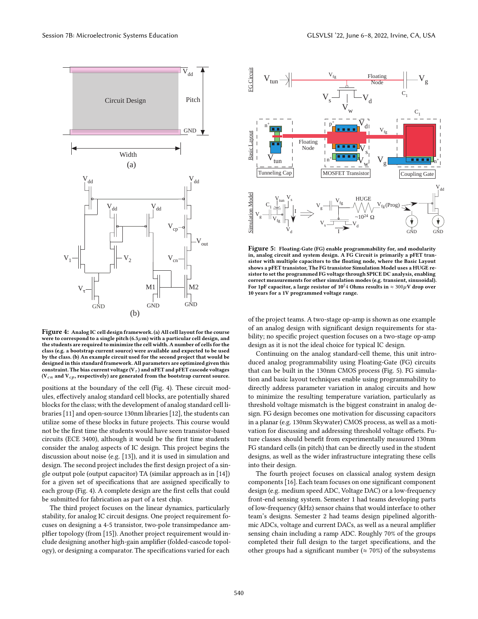

**Figure 4: Analog IC cell design framework. (a) All cell layout for the course were to correspond to a single pitch (6.5***µ***m) with a particular cell design, and the students are required to minimize the cell width. A number of cells for the class (e.g. a bootstrap current source) were available and expected to be used by the class. (b) An example circuit used for the second project that would be designed in this standard framework. All parameters are optimized given this** constraint. The bias current voltage ( $V<sub>\tau</sub>$ ) and nFET and pFET cascode voltages  $(V_{cn}$  and  $V_{cp}$ , respectively) are generated from the bootstrap current source.

positions at the boundary of the cell (Fig. 4). These circuit modules, effectively analog standard cell blocks, are potentially shared blocks for the class; with the development of analog standard cell libraries [11] and open-source 130nm libraries [12], the students can utilize some of these blocks in future projects. This course would not be the first time the students would have seen transistor-based circuits (ECE 3400), although it would be the first time students consider the analog aspects of IC design. This project begins the discussion about noise (e.g. [13]), and it is used in simulation and design. The second project includes the first design project of a single output pole (output capacitor) TA (similar approach as in [14]) for a given set of specifications that are assigned specifically to each group (Fig. 4). A complete design are the first cells that could be submitted for fabrication as part of a test chip.

The third project focuses on the linear dynamics, particularly stability, for analog IC circuit designs. One project requirement focuses on designing a 4-5 transistor, two-pole transimpedance amplfier topology (from [15]). Another project requirement would include designing another high-gain amplifier (folded-cascode topology), or designing a comparator. The specifications varied for each



**Figure 5: Floating-Gate (FG) enable programmability for, and modularity in, analog circuit and system design. A FG Circuit is primarily a pFET transistor with multiple capacitors to the floating node, where the Basic Layout shows a pFET transistor, The FG transistor Simulation Model uses a HUGE resistor to set the programmed FG voltage through SPICE DC analysis, enabling correct measurements for other simulation modes (e.g. transient, sinusoidal). For 1pF capacitor, a large resistor of**  $10^24$  **Ohms results in**  $\approx 300 \mu$ **V drop over 10 years for a 1V programmed voltage range.**

of the project teams. A two-stage op-amp is shown as one example of an analog design with significant design requirements for stability; no specific project question focuses on a two-stage op-amp design as it is not the ideal choice for typical IC design.

Continuing on the analog standard-cell theme, this unit introduced analog programmability using Floating-Gate (FG) circuits that can be built in the 130nm CMOS process (Fig. 5). FG simulation and basic layout techniques enable using programmability to directly address parameter variation in analog circuits and how to minimize the resulting temperature variation, particularly as threshold voltage mismatch is the biggest constraint in analog design. FG design becomes one motivation for discussing capacitors in a planar (e.g. 130nm Skywater) CMOS process, as well as a motivation for discussing and addressing threshold voltage offsets. Future classes should benefit from experimentally measured 130nm FG standard cells (in pitch) that can be directly used in the student designs, as well as the wider infrastructure integrating these cells into their design.

The fourth project focuses on classical analog system design components [16]. Each team focuses on one significant component design (e.g. medium speed ADC, Voltage DAC) or a low-frequency front-end sensing system. Semester 1 had teams developing parts of low-frequency (kHz) sensor chains that would interface to other team's designs. Semester 2 had teams design pipelined algorithmic ADCs, voltage and current DACs, as well as a neural amplifier sensing chain including a ramp ADC. Roughly 70% of the groups completed their full design to the target specifications, and the other groups had a significant number ( $\approx$  70%) of the subsystems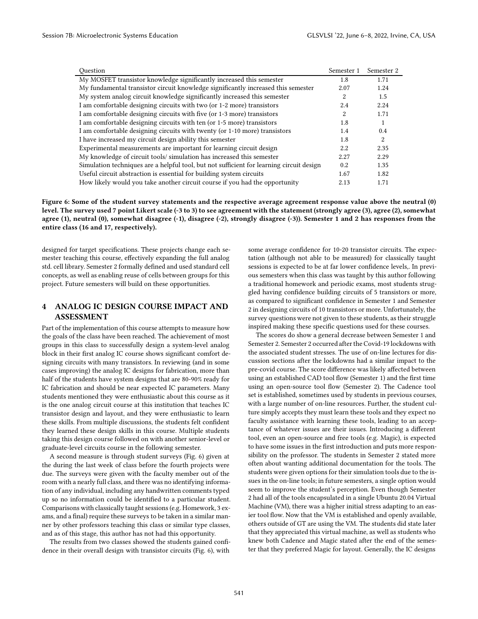| Ouestion                                                                                 | Semester 1 | Semester 2 |
|------------------------------------------------------------------------------------------|------------|------------|
| My MOSFET transistor knowledge significantly increased this semester                     | 1.8        | 1.71       |
| My fundamental transistor circuit knowledge significantly increased this semester        | 2.07       | 1.24       |
| My system analog circuit knowledge significantly increased this semester                 | 2          | 1.5        |
| I am comfortable designing circuits with two (or 1-2 more) transistors                   | 2.4        | 2.24       |
| I am comfortable designing circuits with five (or 1-3 more) transistors                  | 2          | 1.71       |
| I am comfortable designing circuits with ten (or 1-5 more) transistors                   | 1.8        |            |
| I am comfortable designing circuits with twenty (or 1-10 more) transistors               | 1.4        | 0.4        |
| I have increased my circuit design ability this semester                                 | 1.8        | 2          |
| Experimental measurements are important for learning circuit design                      | 2.2        | 2.35       |
| My knowledge of circuit tools/simulation has increased this semester                     | 2.27       | 2.29       |
| Simulation techniques are a helpful tool, but not sufficient for learning circuit design | 0.2        | 1.35       |
| Useful circuit abstraction is essential for building system circuits                     | 1.67       | 1.82       |
| How likely would you take another circuit course if you had the opportunity              | 2.13       | 1.71       |

**Figure 6: Some of the student survey statements and the respective average agreement response value above the neutral (0) level. The survey used 7 point Likert scale (-3 to 3) to see agreement with the statement (strongly agree (3), agree (2), somewhat agree (1), neutral (0), somewhat disagree (-1), disagree (-2), strongly disagree (-3)). Semester 1 and 2 has responses from the entire class (16 and 17, respectively).**

designed for target specifications. These projects change each semester teaching this course, effectively expanding the full analog std. cell library. Semester 2 formally defined and used standard cell concepts, as well as enabling reuse of cells between groups for this project. Future semesters will build on these opportunities.

## **4 ANALOG IC DESIGN COURSE IMPACT AND ASSESSMENT**

Part of the implementation of this course attempts to measure how the goals of the class have been reached. The achievement of most groups in this class to successfully design a system-level analog block in their first analog IC course shows significant comfort designing circuits with many transistors. In reviewing (and in some cases improving) the analog IC designs for fabrication, more than half of the students have system designs that are 80-90% ready for IC fabrication and should be near expected IC parameters. Many students mentioned they were enthusiastic about this course as it is the one analog circuit course at this institution that teaches IC transistor design and layout, and they were enthusiastic to learn these skills. From multiple discussions, the students felt confident they learned these design skills in this course. Multiple students taking this design course followed on with another senior-level or graduate-level circuits course in the following semester.

A second measure is through student surveys (Fig. 6) given at the during the last week of class before the fourth projects were due. The surveys were given with the faculty member out of the room with a nearly full class, and there was no identifying information of any individual, including any handwritten comments typed up so no information could be identified to a particular student. Comparisons with classically taught sessions (e.g. Homework, 3 exams, and a final) require these surveys to be taken in a similar manner by other professors teaching this class or similar type classes, and as of this stage, this author has not had this opportunity.

The results from two classes showed the students gained confidence in their overall design with transistor circuits (Fig. 6), with

some average confidence for 10-20 transistor circuits. The expectation (although not able to be measured) for classically taught sessions is expected to be at far lower confidence levels,. In previous semesters when this class was taught by this author following a traditional homework and periodic exams, most students struggled having confidence building circuits of 5 transistors or more, as compared to significant confidence in Semester 1 and Semester 2 in designing circuits of 10 transistors or more. Unfortunately, the survey questions were not given to these students, as their struggle inspired making these specific questions used for these courses.

The scores do show a general decrease between Semester 1 and Semester 2. Semester 2 occurred after the Covid-19 lockdowns with the associated student stresses. The use of on-line lectures for discussion sections after the lockdowns had a similar impact to the pre-covid course. The score difference was likely affected between using an established CAD tool flow (Semester 1) and the first time using an open-source tool flow (Semester 2). The Cadence tool set is established, sometimes used by students in previous courses, with a large number of on-line resources. Further, the student culture simply accepts they must learn these tools and they expect no faculty assistance with learning these tools, leading to an acceptance of whatever issues are their issues. Introducing a different tool, even an open-source and free tools (e.g. Magic), is expected to have some issues in the first introduction and puts more responsibility on the professor. The students in Semester 2 stated more often about wanting additional documentation for the tools. The students were given options for their simulation tools due to the issues in the on-line tools; in future semesters, a single option would seem to improve the student's perception. Even though Semester 2 had all of the tools encapsulated in a single Ubuntu 20.04 Virtual Machine (VM), there was a higher initial stress adapting to an easier tool flow. Now that the VM is established and openly available, others outside of GT are using the VM. The students did state later that they appreciated this virtual machine, as well as students who knew both Cadence and Magic stated after the end of the semester that they preferred Magic for layout. Generally, the IC designs